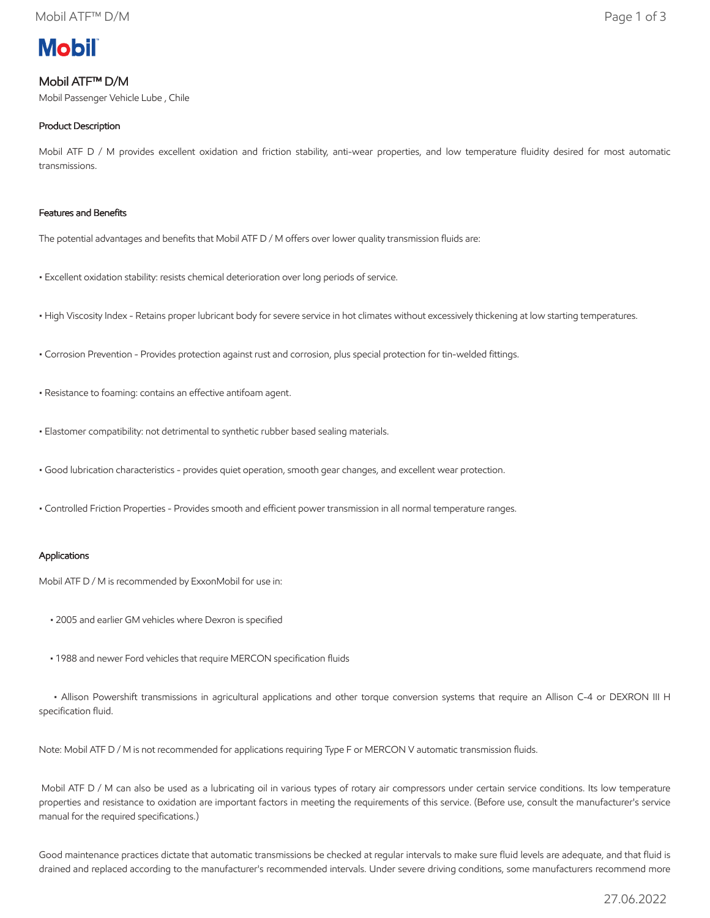# **Mobil**

## Mobil ATF™ D/M

Mobil Passenger Vehicle Lube , Chile

### Product Description

Mobil ATF D / M provides excellent oxidation and friction stability, anti-wear properties, and low temperature fluidity desired for most automatic transmissions.

#### Features and Benefits

The potential advantages and benefits that Mobil ATF D / M offers over lower quality transmission fluids are:

- Excellent oxidation stability: resists chemical deterioration over long periods of service.
- High Viscosity Index Retains proper lubricant body for severe service in hot climates without excessively thickening at low starting temperatures.
- Corrosion Prevention Provides protection against rust and corrosion, plus special protection for tin-welded fittings.
- Resistance to foaming: contains an effective antifoam agent.
- Elastomer compatibility: not detrimental to synthetic rubber based sealing materials.
- Good lubrication characteristics provides quiet operation, smooth gear changes, and excellent wear protection.
- Controlled Friction Properties Provides smooth and efficient power transmission in all normal temperature ranges.

#### Applications

Mobil ATF D / M is recommended by ExxonMobil for use in:

- 2005 and earlier GM vehicles where Dexron is specified
- 1988 and newer Ford vehicles that require MERCON specification fluids

 • Allison Powershift transmissions in agricultural applications and other torque conversion systems that require an Allison C-4 or DEXRON III H specification fluid.

Note: Mobil ATF D / M is not recommended for applications requiring Type F or MERCON V automatic transmission fluids.

Mobil ATF D / M can also be used as a lubricating oil in various types of rotary air compressors under certain service conditions. Its low temperature properties and resistance to oxidation are important factors in meeting the requirements of this service. (Before use, consult the manufacturer's service manual for the required specifications.)

Good maintenance practices dictate that automatic transmissions be checked at regular intervals to make sure fluid levels are adequate, and that fluid is drained and replaced according to the manufacturer's recommended intervals. Under severe driving conditions, some manufacturers recommend more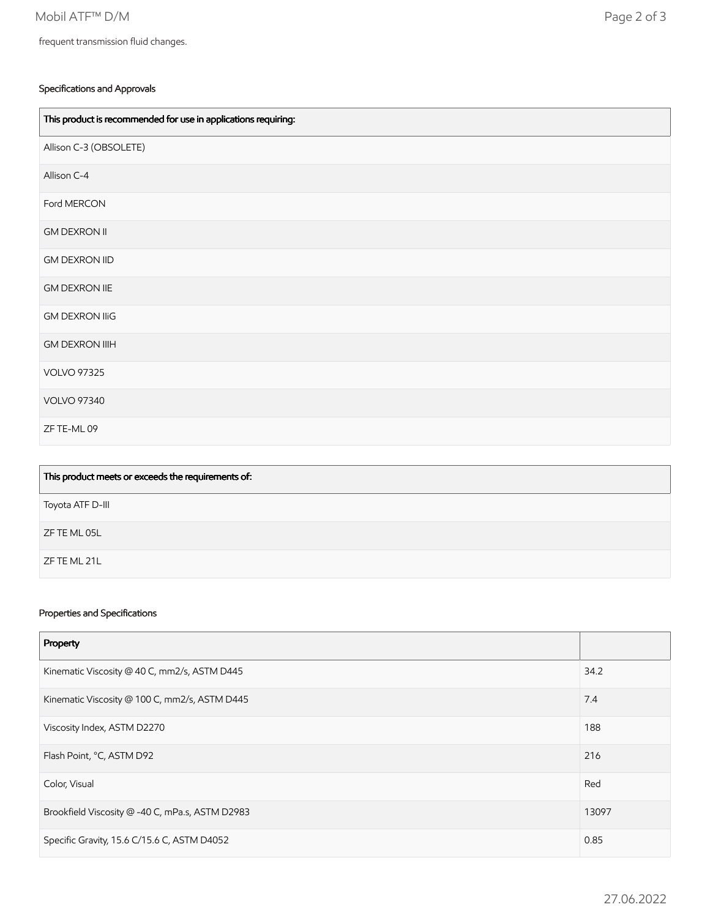#### Specifications and Approvals

| This product is recommended for use in applications requiring: |
|----------------------------------------------------------------|
| Allison C-3 (OBSOLETE)                                         |
| Allison C-4                                                    |
| Ford MERCON                                                    |
| <b>GM DEXRON II</b>                                            |
| <b>GM DEXRON IID</b>                                           |
| <b>GM DEXRON IIE</b>                                           |
| <b>GM DEXRON IIIG</b>                                          |
| <b>GM DEXRON IIIH</b>                                          |
| <b>VOLVO 97325</b>                                             |
| <b>VOLVO 97340</b>                                             |
| ZF TE-ML 09                                                    |

| This product meets or exceeds the requirements of: |
|----------------------------------------------------|
| Toyota ATF D-III                                   |
| ZF TE ML 05L                                       |
| ZF TE ML 21L                                       |

#### Properties and Specifications

| Property                                        |       |
|-------------------------------------------------|-------|
| Kinematic Viscosity @ 40 C, mm2/s, ASTM D445    | 34.2  |
| Kinematic Viscosity @ 100 C, mm2/s, ASTM D445   | 7.4   |
| Viscosity Index, ASTM D2270                     | 188   |
| Flash Point, °C, ASTM D92                       | 216   |
| Color, Visual                                   | Red   |
| Brookfield Viscosity @ -40 C, mPa.s, ASTM D2983 | 13097 |
| Specific Gravity, 15.6 C/15.6 C, ASTM D4052     | 0.85  |